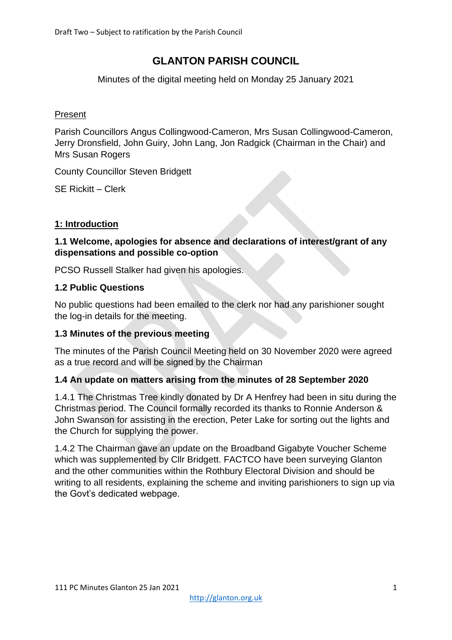# **GLANTON PARISH COUNCIL**

Minutes of the digital meeting held on Monday 25 January 2021

### Present

Parish Councillors Angus Collingwood-Cameron, Mrs Susan Collingwood-Cameron, Jerry Dronsfield, John Guiry, John Lang, Jon Radgick (Chairman in the Chair) and Mrs Susan Rogers

County Councillor Steven Bridgett

SE Rickitt – Clerk

### **1: Introduction**

### **1.1 Welcome, apologies for absence and declarations of interest/grant of any dispensations and possible co-option**

PCSO Russell Stalker had given his apologies.

### **1.2 Public Questions**

No public questions had been emailed to the clerk nor had any parishioner sought the log-in details for the meeting.

#### **1.3 Minutes of the previous meeting**

The minutes of the Parish Council Meeting held on 30 November 2020 were agreed as a true record and will be signed by the Chairman

# **1.4 An update on matters arising from the minutes of 28 September 2020**

1.4.1 The Christmas Tree kindly donated by Dr A Henfrey had been in situ during the Christmas period. The Council formally recorded its thanks to Ronnie Anderson & John Swanson for assisting in the erection, Peter Lake for sorting out the lights and the Church for supplying the power.

1.4.2 The Chairman gave an update on the Broadband Gigabyte Voucher Scheme which was supplemented by Cllr Bridgett. FACTCO have been surveying Glanton and the other communities within the Rothbury Electoral Division and should be writing to all residents, explaining the scheme and inviting parishioners to sign up via the Govt's dedicated webpage.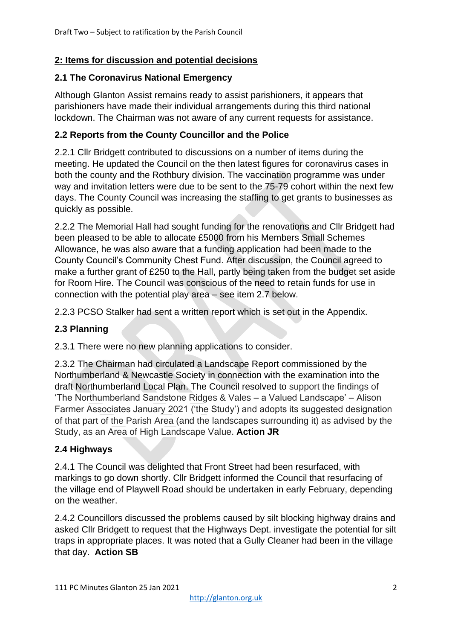# **2: Items for discussion and potential decisions**

### **2.1 The Coronavirus National Emergency**

Although Glanton Assist remains ready to assist parishioners, it appears that parishioners have made their individual arrangements during this third national lockdown. The Chairman was not aware of any current requests for assistance.

# **2.2 Reports from the County Councillor and the Police**

2.2.1 Cllr Bridgett contributed to discussions on a number of items during the meeting. He updated the Council on the then latest figures for coronavirus cases in both the county and the Rothbury division. The vaccination programme was under way and invitation letters were due to be sent to the 75-79 cohort within the next few days. The County Council was increasing the staffing to get grants to businesses as quickly as possible.

2.2.2 The Memorial Hall had sought funding for the renovations and Cllr Bridgett had been pleased to be able to allocate £5000 from his Members Small Schemes Allowance, he was also aware that a funding application had been made to the County Council's Community Chest Fund. After discussion, the Council agreed to make a further grant of £250 to the Hall, partly being taken from the budget set aside for Room Hire. The Council was conscious of the need to retain funds for use in connection with the potential play area – see item 2.7 below.

2.2.3 PCSO Stalker had sent a written report which is set out in the Appendix.

# **2.3 Planning**

2.3.1 There were no new planning applications to consider.

2.3.2 The Chairman had circulated a Landscape Report commissioned by the Northumberland & Newcastle Society in connection with the examination into the draft Northumberland Local Plan. The Council resolved to support the findings of 'The Northumberland Sandstone Ridges & Vales – a Valued Landscape' – Alison Farmer Associates January 2021 ('the Study') and adopts its suggested designation of that part of the Parish Area (and the landscapes surrounding it) as advised by the Study, as an Area of High Landscape Value. **Action JR**

# **2.4 Highways**

2.4.1 The Council was delighted that Front Street had been resurfaced, with markings to go down shortly. Cllr Bridgett informed the Council that resurfacing of the village end of Playwell Road should be undertaken in early February, depending on the weather.

2.4.2 Councillors discussed the problems caused by silt blocking highway drains and asked Cllr Bridgett to request that the Highways Dept. investigate the potential for silt traps in appropriate places. It was noted that a Gully Cleaner had been in the village that day. **Action SB**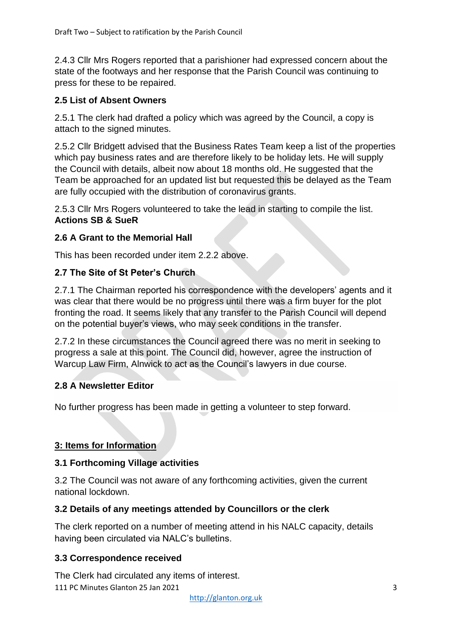2.4.3 Cllr Mrs Rogers reported that a parishioner had expressed concern about the state of the footways and her response that the Parish Council was continuing to press for these to be repaired.

# **2.5 List of Absent Owners**

2.5.1 The clerk had drafted a policy which was agreed by the Council, a copy is attach to the signed minutes.

2.5.2 Cllr Bridgett advised that the Business Rates Team keep a list of the properties which pay business rates and are therefore likely to be holiday lets. He will supply the Council with details, albeit now about 18 months old. He suggested that the Team be approached for an updated list but requested this be delayed as the Team are fully occupied with the distribution of coronavirus grants.

2.5.3 Cllr Mrs Rogers volunteered to take the lead in starting to compile the list. **Actions SB & SueR**

### **2.6 A Grant to the Memorial Hall**

This has been recorded under item 2.2.2 above.

### **2.7 The Site of St Peter's Church**

2.7.1 The Chairman reported his correspondence with the developers' agents and it was clear that there would be no progress until there was a firm buyer for the plot fronting the road. It seems likely that any transfer to the Parish Council will depend on the potential buyer's views, who may seek conditions in the transfer.

2.7.2 In these circumstances the Council agreed there was no merit in seeking to progress a sale at this point. The Council did, however, agree the instruction of Warcup Law Firm, Alnwick to act as the Council's lawyers in due course.

# **2.8 A Newsletter Editor**

No further progress has been made in getting a volunteer to step forward.

#### **3: Items for Information**

#### **3.1 Forthcoming Village activities**

3.2 The Council was not aware of any forthcoming activities, given the current national lockdown.

#### **3.2 Details of any meetings attended by Councillors or the clerk**

The clerk reported on a number of meeting attend in his NALC capacity, details having been circulated via NALC's bulletins.

# **3.3 Correspondence received**

111 PC Minutes Glanton 25 Jan 2021 3 The Clerk had circulated any items of interest.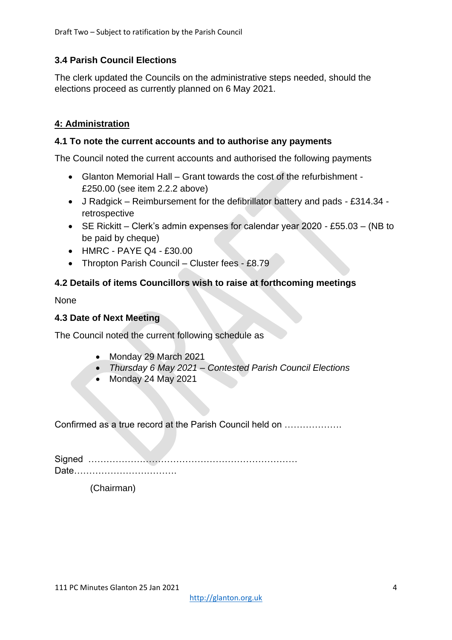# **3.4 Parish Council Elections**

The clerk updated the Councils on the administrative steps needed, should the elections proceed as currently planned on 6 May 2021.

# **4: Administration**

### **4.1 To note the current accounts and to authorise any payments**

The Council noted the current accounts and authorised the following payments

- Glanton Memorial Hall Grant towards the cost of the refurbishment £250.00 (see item 2.2.2 above)
- J Radgick Reimbursement for the defibrillator battery and pads £314.34 retrospective
- SE Rickitt Clerk's admin expenses for calendar year 2020 £55.03 (NB to be paid by cheque)
- HMRC PAYE Q4 £30.00
- Thropton Parish Council Cluster fees £8.79

# **4.2 Details of items Councillors wish to raise at forthcoming meetings**

None

### **4.3 Date of Next Meeting**

The Council noted the current following schedule as

- Monday 29 March 2021
- *Thursday 6 May 2021 – Contested Parish Council Elections*
- Monday 24 May 2021

Confirmed as a true record at the Parish Council held on ……………….

Signed …………………………………………………………… Date…………………………….

(Chairman)